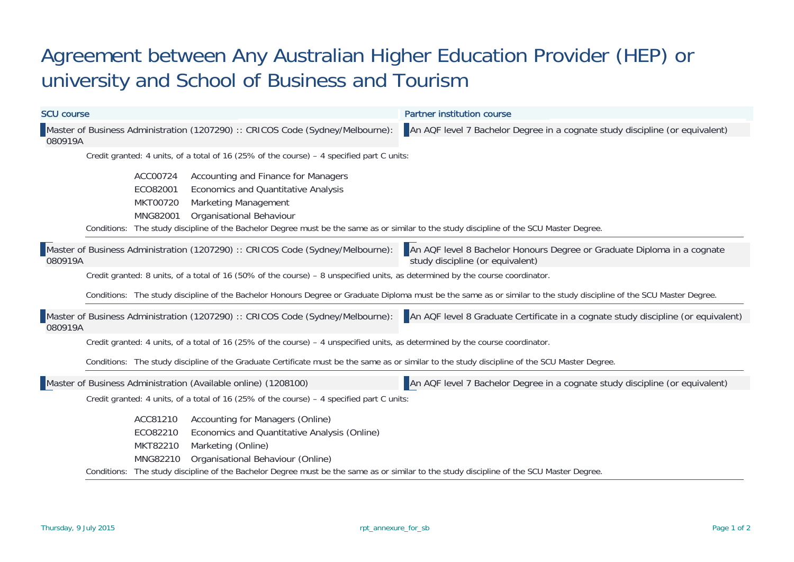## Agreement between Any Australian Higher Education Provider (HEP) or university and School of Business and Tourism

| <b>SCU course</b> |                                                                                             |                                                     |                                                                                                                                             | <b>Partner institution course</b>                                                                                                                                    |  |  |  |  |  |
|-------------------|---------------------------------------------------------------------------------------------|-----------------------------------------------------|---------------------------------------------------------------------------------------------------------------------------------------------|----------------------------------------------------------------------------------------------------------------------------------------------------------------------|--|--|--|--|--|
| 080919A           |                                                                                             |                                                     | Master of Business Administration (1207290) :: CRICOS Code (Sydney/Melbourne):                                                              | An AQF level 7 Bachelor Degree in a cognate study discipline (or equivalent)                                                                                         |  |  |  |  |  |
|                   |                                                                                             |                                                     | Credit granted: 4 units, of a total of 16 (25% of the course) - 4 specified part C units:                                                   |                                                                                                                                                                      |  |  |  |  |  |
|                   | Conditions:                                                                                 | ACC00724<br>ECO82001<br><b>MKT00720</b><br>MNG82001 | Accounting and Finance for Managers<br>Economics and Quantitative Analysis<br><b>Marketing Management</b><br>Organisational Behaviour       | The study discipline of the Bachelor Degree must be the same as or similar to the study discipline of the SCU Master Degree.                                         |  |  |  |  |  |
| 080919A           |                                                                                             |                                                     | Master of Business Administration (1207290) :: CRICOS Code (Sydney/Melbourne):                                                              | An AQF level 8 Bachelor Honours Degree or Graduate Diploma in a cognate<br>study discipline (or equivalent)                                                          |  |  |  |  |  |
|                   |                                                                                             |                                                     | Credit granted: 8 units, of a total of 16 (50% of the course) – 8 unspecified units, as determined by the course coordinator.               |                                                                                                                                                                      |  |  |  |  |  |
|                   |                                                                                             |                                                     |                                                                                                                                             | Conditions: The study discipline of the Bachelor Honours Degree or Graduate Diploma must be the same as or similar to the study discipline of the SCU Master Degree. |  |  |  |  |  |
| 080919A           |                                                                                             |                                                     |                                                                                                                                             | Master of Business Administration (1207290) :: CRICOS Code (Sydney/Melbourne): An AQF level 8 Graduate Certificate in a cognate study discipline (or equivalent)     |  |  |  |  |  |
|                   |                                                                                             |                                                     | Credit granted: 4 units, of a total of 16 (25% of the course) - 4 unspecified units, as determined by the course coordinator.               |                                                                                                                                                                      |  |  |  |  |  |
|                   |                                                                                             |                                                     |                                                                                                                                             | Conditions: The study discipline of the Graduate Certificate must be the same as or similar to the study discipline of the SCU Master Degree.                        |  |  |  |  |  |
|                   |                                                                                             |                                                     | Master of Business Administration (Available online) (1208100)                                                                              | An AQF level 7 Bachelor Degree in a cognate study discipline (or equivalent)                                                                                         |  |  |  |  |  |
|                   | Credit granted: 4 units, of a total of 16 (25% of the course) $-$ 4 specified part C units: |                                                     |                                                                                                                                             |                                                                                                                                                                      |  |  |  |  |  |
|                   |                                                                                             | ACC81210<br>ECO82210<br>MKT82210<br>MNG82210        | Accounting for Managers (Online)<br>Economics and Quantitative Analysis (Online)<br>Marketing (Online)<br>Organisational Behaviour (Online) | Conditions: The study discipline of the Bachelor Degree must be the same as or similar to the study discipline of the SCU Master Degree.                             |  |  |  |  |  |